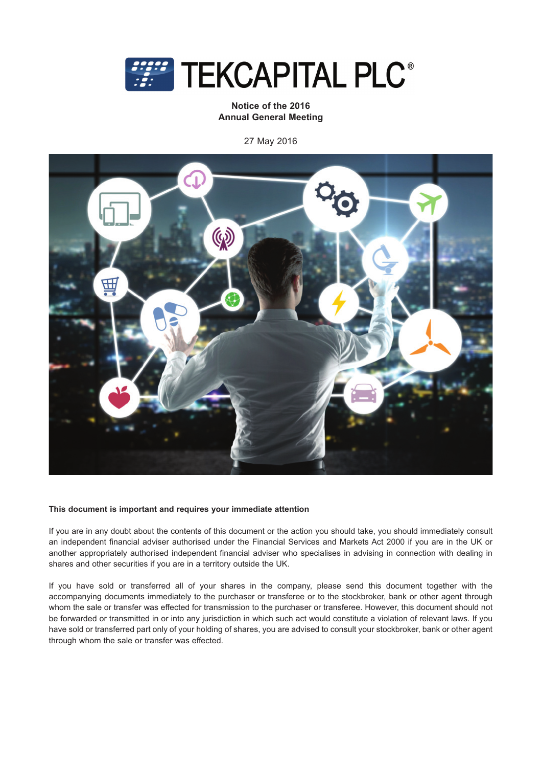

**Notice of the 2016 Annual General Meeting**

27 May 2016



## **This document is important and requires your immediate attention**

If you are in any doubt about the contents of this document or the action you should take, you should immediately consult an independent financial adviser authorised under the Financial Services and Markets Act 2000 if you are in the UK or another appropriately authorised independent financial adviser who specialises in advising in connection with dealing in shares and other securities if you are in a territory outside the UK.

If you have sold or transferred all of your shares in the company, please send this document together with the accompanying documents immediately to the purchaser or transferee or to the stockbroker, bank or other agent through whom the sale or transfer was effected for transmission to the purchaser or transferee. However, this document should not be forwarded or transmitted in or into any jurisdiction in which such act would constitute a violation of relevant laws. If you have sold or transferred part only of your holding of shares, you are advised to consult your stockbroker, bank or other agent through whom the sale or transfer was effected.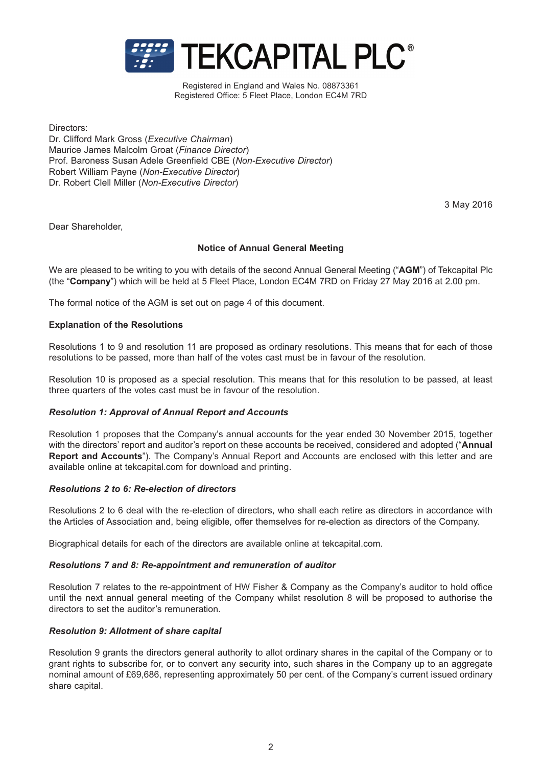

Registered in England and Wales No. 08873361 Registered Office: 5 Fleet Place, London EC4M 7RD

Directors: Dr. Clifford Mark Gross (*Executive Chairman*) Maurice James Malcolm Groat (*Finance Director*) Prof. Baroness Susan Adele Greenfield CBE (*Non-Executive Director*) Robert William Payne (*Non-Executive Director*) Dr. Robert Clell Miller (*Non-Executive Director*)

3 May 2016

Dear Shareholder,

# **Notice of Annual General Meeting**

We are pleased to be writing to you with details of the second Annual General Meeting ("**AGM**") of Tekcapital Plc (the "**Company**") which will be held at 5 Fleet Place, London EC4M 7RD on Friday 27 May 2016 at 2.00 pm.

The formal notice of the AGM is set out on page 4 of this document.

# **Explanation of the Resolutions**

Resolutions 1 to 9 and resolution 11 are proposed as ordinary resolutions. This means that for each of those resolutions to be passed, more than half of the votes cast must be in favour of the resolution.

Resolution 10 is proposed as a special resolution. This means that for this resolution to be passed, at least three quarters of the votes cast must be in favour of the resolution.

# *Resolution 1: Approval of Annual Report and Accounts*

Resolution 1 proposes that the Company's annual accounts for the year ended 30 November 2015, together with the directors' report and auditor's report on these accounts be received, considered and adopted ("**Annual Report and Accounts**"). The Company's Annual Report and Accounts are enclosed with this letter and are available online at tekcapital.com for download and printing.

## *Resolutions 2 to 6: Re-election of directors*

Resolutions 2 to 6 deal with the re-election of directors, who shall each retire as directors in accordance with the Articles of Association and, being eligible, offer themselves for re-election as directors of the Company.

Biographical details for each of the directors are available online at tekcapital.com.

## *Resolutions 7 and 8: Re-appointment and remuneration of auditor*

Resolution 7 relates to the re-appointment of HW Fisher & Company as the Company's auditor to hold office until the next annual general meeting of the Company whilst resolution 8 will be proposed to authorise the directors to set the auditor's remuneration.

## *Resolution 9: Allotment of share capital*

Resolution 9 grants the directors general authority to allot ordinary shares in the capital of the Company or to grant rights to subscribe for, or to convert any security into, such shares in the Company up to an aggregate nominal amount of £69,686, representing approximately 50 per cent. of the Company's current issued ordinary share capital.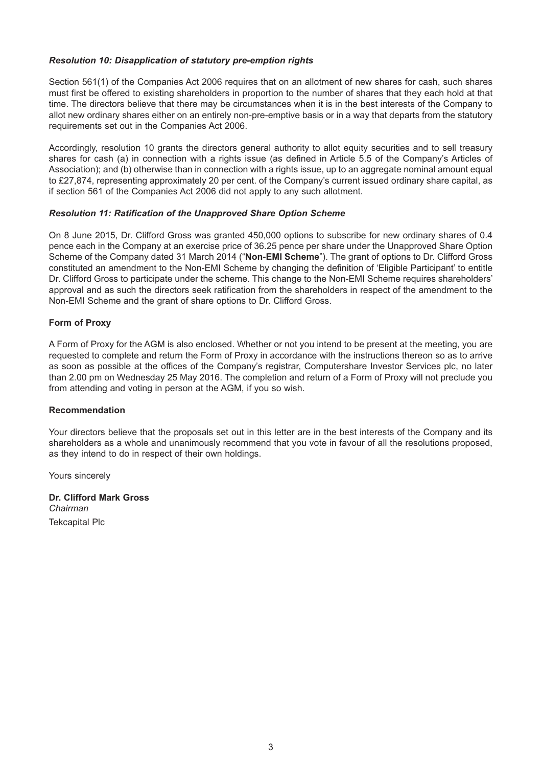# *Resolution 10: Disapplication of statutory pre-emption rights*

Section 561(1) of the Companies Act 2006 requires that on an allotment of new shares for cash, such shares must first be offered to existing shareholders in proportion to the number of shares that they each hold at that time. The directors believe that there may be circumstances when it is in the best interests of the Company to allot new ordinary shares either on an entirely non-pre-emptive basis or in a way that departs from the statutory requirements set out in the Companies Act 2006.

Accordingly, resolution 10 grants the directors general authority to allot equity securities and to sell treasury shares for cash (a) in connection with a rights issue (as defined in Article 5.5 of the Company's Articles of Association); and (b) otherwise than in connection with a rights issue, up to an aggregate nominal amount equal to £27,874, representing approximately 20 per cent. of the Company's current issued ordinary share capital, as if section 561 of the Companies Act 2006 did not apply to any such allotment.

# *Resolution 11: Ratification of the Unapproved Share Option Scheme*

On 8 June 2015, Dr. Clifford Gross was granted 450,000 options to subscribe for new ordinary shares of 0.4 pence each in the Company at an exercise price of 36.25 pence per share under the Unapproved Share Option Scheme of the Company dated 31 March 2014 ("**Non-EMI Scheme**"). The grant of options to Dr. Clifford Gross constituted an amendment to the Non-EMI Scheme by changing the definition of 'Eligible Participant' to entitle Dr. Clifford Gross to participate under the scheme. This change to the Non-EMI Scheme requires shareholders' approval and as such the directors seek ratification from the shareholders in respect of the amendment to the Non-EMI Scheme and the grant of share options to Dr. Clifford Gross.

# **Form of Proxy**

A Form of Proxy for the AGM is also enclosed. Whether or not you intend to be present at the meeting, you are requested to complete and return the Form of Proxy in accordance with the instructions thereon so as to arrive as soon as possible at the offices of the Company's registrar, Computershare Investor Services plc, no later than 2.00 pm on Wednesday 25 May 2016. The completion and return of a Form of Proxy will not preclude you from attending and voting in person at the AGM, if you so wish.

# **Recommendation**

Your directors believe that the proposals set out in this letter are in the best interests of the Company and its shareholders as a whole and unanimously recommend that you vote in favour of all the resolutions proposed, as they intend to do in respect of their own holdings.

Yours sincerely

**Dr. Clifford Mark Gross** Chairman *Chairman* Tekcapital Plc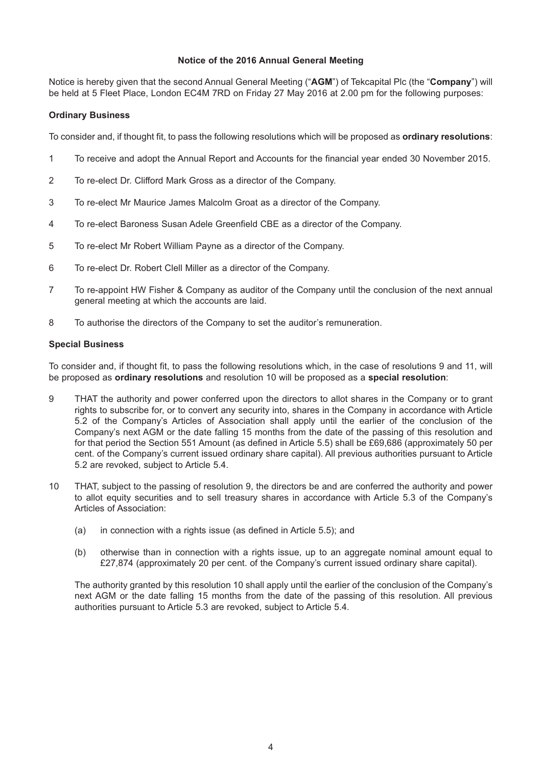## **Notice of the 2016 Annual General Meeting**

Notice is hereby given that the second Annual General Meeting ("**AGM**") of Tekcapital Plc (the "**Company**") will be held at 5 Fleet Place, London EC4M 7RD on Friday 27 May 2016 at 2.00 pm for the following purposes:

# **Ordinary Business**

To consider and, if thought fit, to pass the following resolutions which will be proposed as **ordinary resolutions**:

- 1 To receive and adopt the Annual Report and Accounts for the financial year ended 30 November 2015.
- 2 To re-elect Dr. Clifford Mark Gross as a director of the Company.
- 3 To re-elect Mr Maurice James Malcolm Groat as a director of the Company.
- 4 To re-elect Baroness Susan Adele Greenfield CBE as a director of the Company.
- 5 To re-elect Mr Robert William Payne as a director of the Company.
- 6 To re-elect Dr. Robert Clell Miller as a director of the Company.
- 7 To re-appoint HW Fisher & Company as auditor of the Company until the conclusion of the next annual general meeting at which the accounts are laid.
- 8 To authorise the directors of the Company to set the auditor's remuneration.

## **Special Business**

To consider and, if thought fit, to pass the following resolutions which, in the case of resolutions 9 and 11, will be proposed as **ordinary resolutions** and resolution 10 will be proposed as a **special resolution**:

- 9 THAT the authority and power conferred upon the directors to allot shares in the Company or to grant rights to subscribe for, or to convert any security into, shares in the Company in accordance with Article 5.2 of the Company's Articles of Association shall apply until the earlier of the conclusion of the Company's next AGM or the date falling 15 months from the date of the passing of this resolution and for that period the Section 551 Amount (as defined in Article 5.5) shall be £69,686 (approximately 50 per cent. of the Company's current issued ordinary share capital). All previous authorities pursuant to Article 5.2 are revoked, subject to Article 5.4.
- 10 THAT, subject to the passing of resolution 9, the directors be and are conferred the authority and power to allot equity securities and to sell treasury shares in accordance with Article 5.3 of the Company's Articles of Association:
	- (a) in connection with a rights issue (as defined in Article 5.5); and
	- (b) otherwise than in connection with a rights issue, up to an aggregate nominal amount equal to £27,874 (approximately 20 per cent. of the Company's current issued ordinary share capital).

The authority granted by this resolution 10 shall apply until the earlier of the conclusion of the Company's next AGM or the date falling 15 months from the date of the passing of this resolution. All previous authorities pursuant to Article 5.3 are revoked, subject to Article 5.4.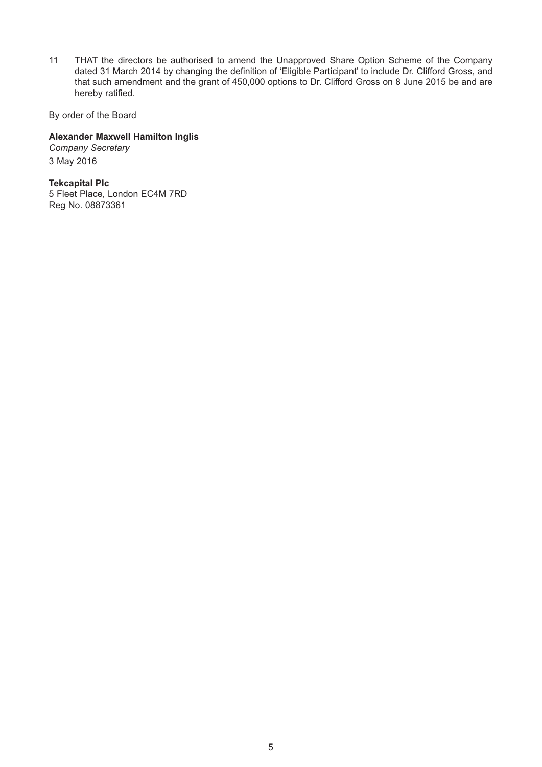11 THAT the directors be authorised to amend the Unapproved Share Option Scheme of the Company dated 31 March 2014 by changing the definition of 'Eligible Participant' to include Dr. Clifford Gross, and that such amendment and the grant of 450,000 options to Dr. Clifford Gross on 8 June 2015 be and are hereby ratified.

By order of the Board

# **Alexander Maxwell Hamilton Inglis**

*Company Secretary* 3 May 2016

**Tekcapital Plc** 5 Fleet Place, London EC4M 7RD Reg No. 08873361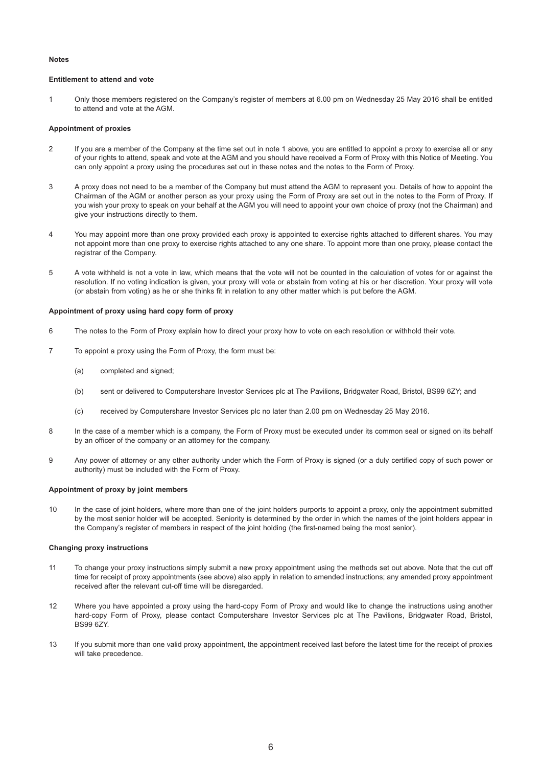### **Notes**

### **Entitlement to attend and vote**

1 Only those members registered on the Company's register of members at 6.00 pm on Wednesday 25 May 2016 shall be entitled to attend and vote at the AGM.

### **Appointment of proxies**

- 2 If you are a member of the Company at the time set out in note 1 above, you are entitled to appoint a proxy to exercise all or any of your rights to attend, speak and vote at the AGM and you should have received a Form of Proxy with this Notice of Meeting. You can only appoint a proxy using the procedures set out in these notes and the notes to the Form of Proxy.
- 3 A proxy does not need to be a member of the Company but must attend the AGM to represent you. Details of how to appoint the Chairman of the AGM or another person as your proxy using the Form of Proxy are set out in the notes to the Form of Proxy. If you wish your proxy to speak on your behalf at the AGM you will need to appoint your own choice of proxy (not the Chairman) and give your instructions directly to them.
- 4 You may appoint more than one proxy provided each proxy is appointed to exercise rights attached to different shares. You may not appoint more than one proxy to exercise rights attached to any one share. To appoint more than one proxy, please contact the registrar of the Company.
- 5 A vote withheld is not a vote in law, which means that the vote will not be counted in the calculation of votes for or against the resolution. If no voting indication is given, your proxy will vote or abstain from voting at his or her discretion. Your proxy will vote (or abstain from voting) as he or she thinks fit in relation to any other matter which is put before the AGM.

### **Appointment of proxy using hard copy form of proxy**

- 6 The notes to the Form of Proxy explain how to direct your proxy how to vote on each resolution or withhold their vote.
- 7 To appoint a proxy using the Form of Proxy, the form must be:
	- (a) completed and signed;
	- (b) sent or delivered to Computershare Investor Services plc at The Pavilions, Bridgwater Road, Bristol, BS99 6ZY; and
	- (c) received by Computershare Investor Services plc no later than 2.00 pm on Wednesday 25 May 2016.
- 8 In the case of a member which is a company, the Form of Proxy must be executed under its common seal or signed on its behalf by an officer of the company or an attorney for the company.
- 9 Any power of attorney or any other authority under which the Form of Proxy is signed (or a duly certified copy of such power or authority) must be included with the Form of Proxy.

### **Appointment of proxy by joint members**

10 In the case of joint holders, where more than one of the joint holders purports to appoint a proxy, only the appointment submitted by the most senior holder will be accepted. Seniority is determined by the order in which the names of the joint holders appear in the Company's register of members in respect of the joint holding (the first-named being the most senior).

### **Changing proxy instructions**

- 11 To change your proxy instructions simply submit a new proxy appointment using the methods set out above. Note that the cut off time for receipt of proxy appointments (see above) also apply in relation to amended instructions; any amended proxy appointment received after the relevant cut-off time will be disregarded.
- 12 Where you have appointed a proxy using the hard-copy Form of Proxy and would like to change the instructions using another hard-copy Form of Proxy, please contact Computershare Investor Services plc at The Pavilions, Bridgwater Road, Bristol, BS99 6ZY.
- 13 If you submit more than one valid proxy appointment, the appointment received last before the latest time for the receipt of proxies will take precedence.